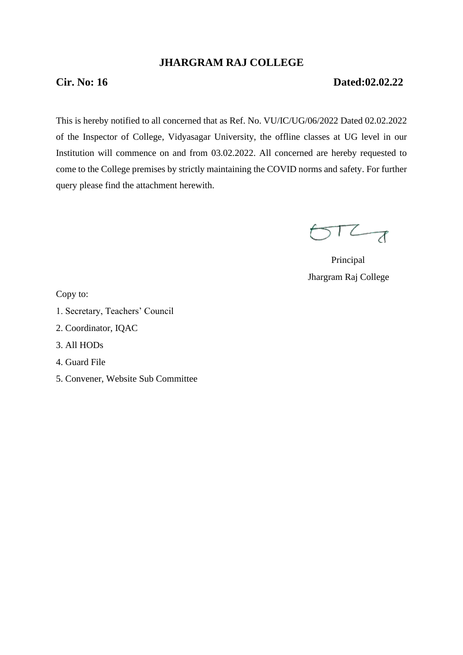## **JHARGRAM RAJ COLLEGE**

## **Cir. No: 16 Dated:02.02.22**

This is hereby notified to all concerned that as Ref. No. VU/IC/UG/06/2022 Dated 02.02.2022 of the Inspector of College, Vidyasagar University, the offline classes at UG level in our Institution will commence on and from 03.02.2022. All concerned are hereby requested to come to the College premises by strictly maintaining the COVID norms and safety. For further query please find the attachment herewith.

 $STZ_{d}$ 

 Principal Jhargram Raj College

Copy to:

- 1. Secretary, Teachers' Council
- 2. Coordinator, IQAC
- 3. All HODs
- 4. Guard File
- 5. Convener, Website Sub Committee